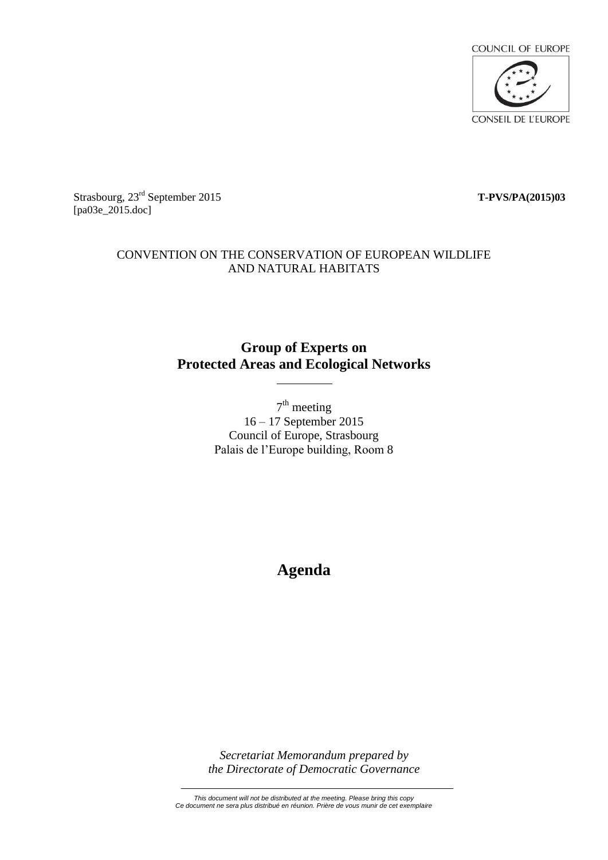

Strasbourg, 23rd September 2015 **T-PVS/PA(2015)03** [pa03e\_2015.doc]

## CONVENTION ON THE CONSERVATION OF EUROPEAN WILDLIFE AND NATURAL HABITATS

## **Group of Experts on Protected Areas and Ecological Networks**

 $7<sup>th</sup>$  meeting 16 – 17 September 2015 Council of Europe, Strasbourg Palais de l'Europe building, Room 8

# **Agenda**

*Secretariat Memorandum prepared by the Directorate of Democratic Governance*

*This document will not be distributed at the meeting. Please bring this copy Ce document ne sera plus distribué en réunion. Prière de vous munir de cet exemplaire*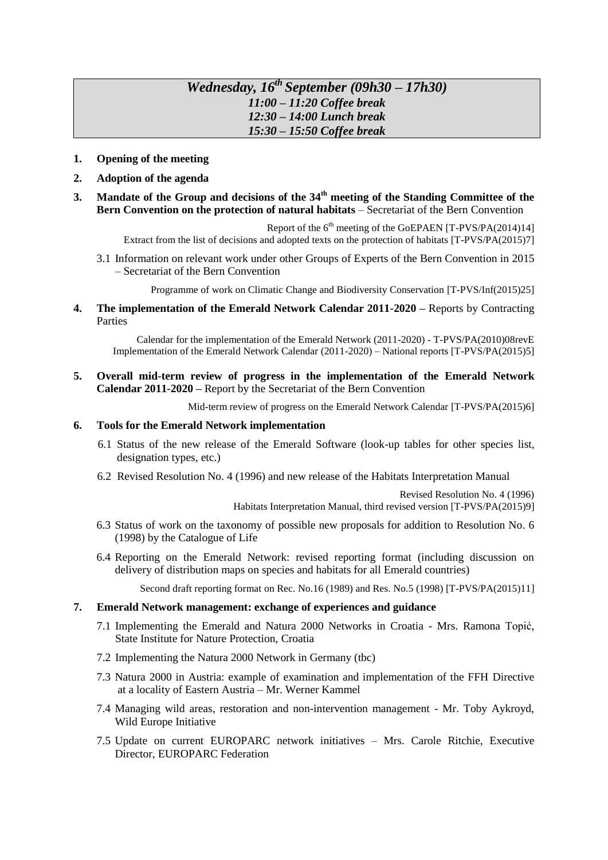## *Wednesday, 16 th September (09h30 – 17h30) 11:00 – 11:20 Coffee break 12:30 – 14:00 Lunch break 15:30 – 15:50 Coffee break*

- **1. Opening of the meeting**
- **2. Adoption of the agenda**
- **3. Mandate of the Group and decisions of the 34 th meeting of the Standing Committee of the Bern Convention on the protection of natural habitats** – Secretariat of the Bern Convention

Report of the  $6<sup>th</sup>$  meeting of the GoEPAEN [T-PVS/PA(2014)14] Extract from the list of decisions and adopted texts on the protection of habitats [T-PVS/PA(2015)7]

3.1 Information on relevant work under other Groups of Experts of the Bern Convention in 2015 – Secretariat of the Bern Convention

Programme of work on Climatic Change and Biodiversity Conservation [T-PVS/Inf(2015)25]

**4. The implementation of the Emerald Network Calendar 2011-2020 –** Reports by Contracting Parties

Calendar for the implementation of the Emerald Network (2011-2020) - T-PVS/PA(2010)08revE Implementation of the Emerald Network Calendar (2011-2020) – National reports [T-PVS/PA(2015)5]

**5. Overall mid-term review of progress in the implementation of the Emerald Network Calendar 2011-2020 –** Report by the Secretariat of the Bern Convention

Mid-term review of progress on the Emerald Network Calendar [T-PVS/PA(2015)6]

#### **6. Tools for the Emerald Network implementation**

- 6.1 Status of the new release of the Emerald Software (look-up tables for other species list, designation types, etc.)
- 6.2 Revised Resolution No. 4 (1996) and new release of the Habitats Interpretation Manual

Revised Resolution No. 4 (1996)

Habitats Interpretation Manual, third revised version [T-PVS/PA(2015)9]

- 6.3 Status of work on the taxonomy of possible new proposals for addition to Resolution No. 6 (1998) by the Catalogue of Life
- 6.4 Reporting on the Emerald Network: revised reporting format (including discussion on delivery of distribution maps on species and habitats for all Emerald countries)

Second draft reporting format on Rec. No.16 (1989) and Res. No.5 (1998) [T-PVS/PA(2015)11]

#### **7. Emerald Network management: exchange of experiences and guidance**

- 7.1 Implementing the Emerald and Natura 2000 Networks in Croatia Mrs. Ramona Topić, State Institute for Nature Protection, Croatia
- 7.2 Implementing the Natura 2000 Network in Germany (tbc)
- 7.3 Natura 2000 in Austria: example of examination and implementation of the FFH Directive at a locality of Eastern Austria – Mr. Werner Kammel
- 7.4 Managing wild areas, restoration and non-intervention management Mr. Toby Aykroyd, Wild Europe Initiative
- 7.5 Update on current EUROPARC network initiatives Mrs. Carole Ritchie, Executive Director, EUROPARC Federation